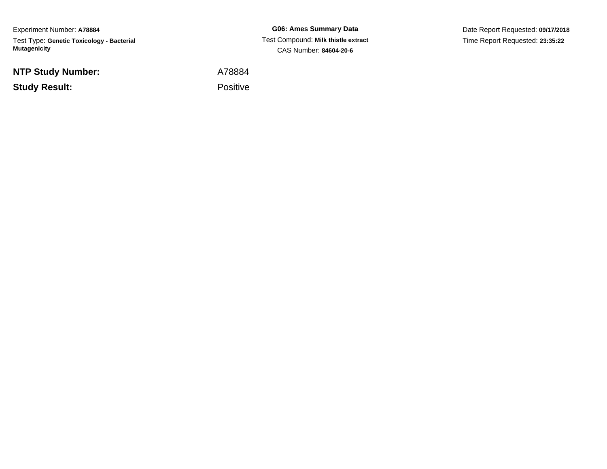Experiment Number: **A78884**Test Type: **Genetic Toxicology - Bacterial Mutagenicity**

**NTP Study Number:**

**Study Result:**

**G06: Ames Summary Data** Test Compound: **Milk thistle extract**CAS Number: **84604-20-6**

Date Report Requested: **09/17/2018**Time Report Requested: **23:35:22**

A78884

Positive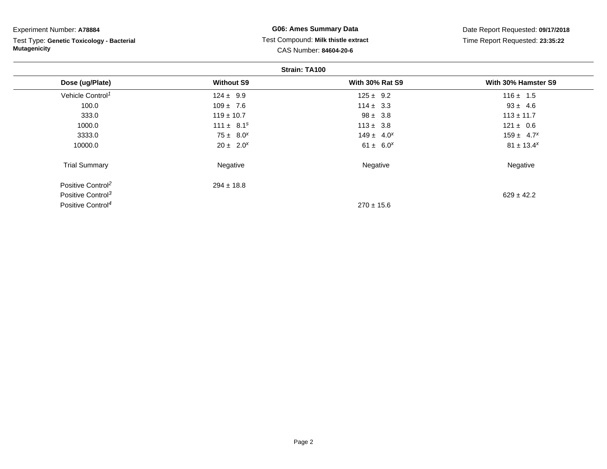| Experiment Number: A78884                                        |                                                               | <b>G06: Ames Summary Data</b> | Date Report Requested: 09/17/2018 |  |
|------------------------------------------------------------------|---------------------------------------------------------------|-------------------------------|-----------------------------------|--|
| Test Type: Genetic Toxicology - Bacterial<br><b>Mutagenicity</b> | Test Compound: Milk thistle extract<br>CAS Number: 84604-20-6 |                               | Time Report Requested: 23:35:22   |  |
|                                                                  |                                                               | Strain: TA100                 |                                   |  |
| Dose (ug/Plate)                                                  | <b>Without S9</b>                                             | <b>With 30% Rat S9</b>        | With 30% Hamster S9               |  |
| Vehicle Control <sup>1</sup>                                     | $124 \pm 9.9$                                                 | $125 \pm 9.2$                 | $116 \pm 1.5$                     |  |
| 100.0                                                            | $109 \pm 7.6$                                                 | $114 \pm 3.3$                 | $93 \pm 4.6$                      |  |
| 333.0                                                            | $119 \pm 10.7$                                                | $98 \pm 3.8$                  | $113 \pm 11.7$                    |  |
| 1000.0                                                           | $111 \pm 8.1^s$                                               | $113 \pm 3.8$                 | $121 \pm 0.6$                     |  |
| 3333.0                                                           | $75 \pm 8.0^x$                                                | $149 \pm 4.0^{x}$             | $159 \pm 4.7^{x}$                 |  |
| 10000.0                                                          | $20 \pm 2.0^{x}$                                              | $61 \pm 6.0^{x}$              | $81 \pm 13.4^x$                   |  |
| <b>Trial Summary</b>                                             | Negative                                                      | Negative                      | Negative                          |  |
| Positive Control <sup>2</sup>                                    | $294 \pm 18.8$                                                |                               |                                   |  |
| Positive Control <sup>3</sup>                                    |                                                               |                               | $629 \pm 42.2$                    |  |
| Positive Control <sup>4</sup>                                    |                                                               | $270 \pm 15.6$                |                                   |  |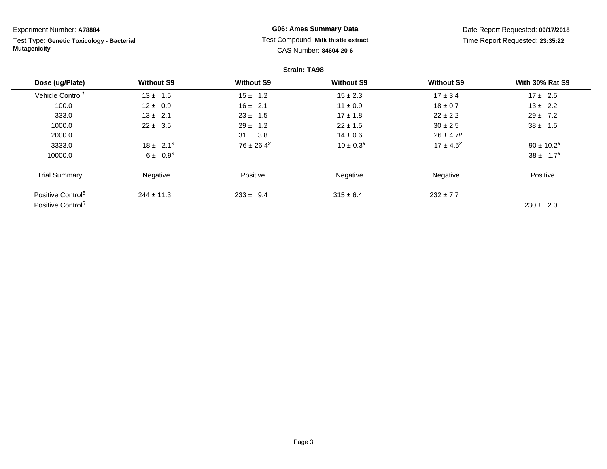| Experiment Number: A78884                                        |                   | <b>G06: Ames Summary Data</b> |                                                               |                           | Date Report Requested: 09/17/2018 |  |
|------------------------------------------------------------------|-------------------|-------------------------------|---------------------------------------------------------------|---------------------------|-----------------------------------|--|
| Test Type: Genetic Toxicology - Bacterial<br><b>Mutagenicity</b> |                   |                               | Test Compound: Milk thistle extract<br>CAS Number: 84604-20-6 |                           | Time Report Requested: 23:35:22   |  |
|                                                                  |                   |                               | <b>Strain: TA98</b>                                           |                           |                                   |  |
| Dose (ug/Plate)                                                  | <b>Without S9</b> | <b>Without S9</b>             | <b>Without S9</b>                                             | <b>Without S9</b>         | <b>With 30% Rat S9</b>            |  |
| Vehicle Control <sup>1</sup>                                     | $13 \pm 1.5$      | $15 \pm 1.2$                  | $15 \pm 2.3$                                                  | $17 \pm 3.4$              | $17 \pm 2.5$                      |  |
| 100.0                                                            | $12 \pm 0.9$      | $16 \pm 2.1$                  | $11 \pm 0.9$                                                  | $18 \pm 0.7$              | $13 \pm 2.2$                      |  |
| 333.0                                                            | $13 \pm 2.1$      | $23 \pm 1.5$                  | $17 \pm 1.8$                                                  | $22 \pm 2.2$              | $29 \pm 7.2$                      |  |
| 1000.0                                                           | $22 \pm 3.5$      | $29 \pm 1.2$                  | $22 \pm 1.5$                                                  | $30 \pm 2.5$              | $38 \pm 1.5$                      |  |
| 2000.0                                                           |                   | $31 \pm 3.8$                  | $14 \pm 0.6$                                                  | $26 \pm 4.7$ <sup>p</sup> |                                   |  |
| 3333.0                                                           | $18 \pm 2.1^x$    | $76 \pm 26.4^x$               | $10 \pm 0.3^{x}$                                              | $17 \pm 4.5^{x}$          | $90 \pm 10.2^x$                   |  |
| 10000.0                                                          | $6 \pm 0.9^{x}$   |                               |                                                               |                           | $38 \pm 1.7^{x}$                  |  |
| <b>Trial Summary</b>                                             | Negative          | Positive                      | Negative                                                      | Negative                  | Positive                          |  |
| Positive Control <sup>5</sup>                                    | $244 \pm 11.3$    | $233 \pm 9.4$                 | $315 \pm 6.4$                                                 | $232 \pm 7.7$             |                                   |  |
| Positive Control <sup>3</sup>                                    |                   |                               |                                                               |                           | $230 \pm 2.0$                     |  |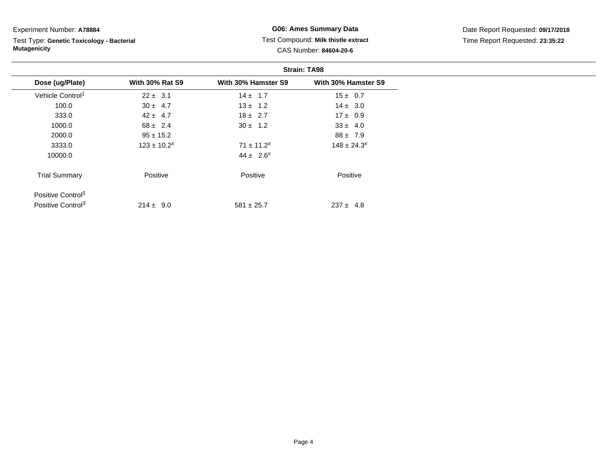Experiment Number: **A78884**

Test Type: **Genetic Toxicology - Bacterial Mutagenicity**

**G06: Ames Summary Data** Test Compound: **Milk thistle extract**CAS Number: **84604-20-6**

Date Report Requested: **09/17/2018**Time Report Requested: **23:35:22**

|                               | <b>Strain: TA98</b>    |                     |                     |  |  |
|-------------------------------|------------------------|---------------------|---------------------|--|--|
| Dose (ug/Plate)               | <b>With 30% Rat S9</b> | With 30% Hamster S9 | With 30% Hamster S9 |  |  |
| Vehicle Control <sup>1</sup>  | $22 \pm 3.1$           | $14 \pm 1.7$        | $15 \pm 0.7$        |  |  |
| 100.0                         | $30 \pm 4.7$           | $13 \pm 1.2$        | $14 \pm 3.0$        |  |  |
| 333.0                         | $42 \pm 4.7$           | $18 \pm 2.7$        | $17 \pm 0.9$        |  |  |
| 1000.0                        | $68 \pm 2.4$           | $30 \pm 1.2$        | $33 \pm 4.0$        |  |  |
| 2000.0                        | $95 \pm 15.2$          |                     | $88 \pm 7.9$        |  |  |
| 3333.0                        | $123 \pm 10.2^x$       | $71 \pm 11.2^x$     | $148 \pm 24.3^{x}$  |  |  |
| 10000.0                       |                        | $44 \pm 2.6^{x}$    |                     |  |  |
| <b>Trial Summary</b>          | Positive               | Positive            | Positive            |  |  |
| Positive Control <sup>5</sup> |                        |                     |                     |  |  |
| Positive Control <sup>3</sup> | $214 \pm 9.0$          | $581 \pm 25.7$      | $237 \pm 4.8$       |  |  |